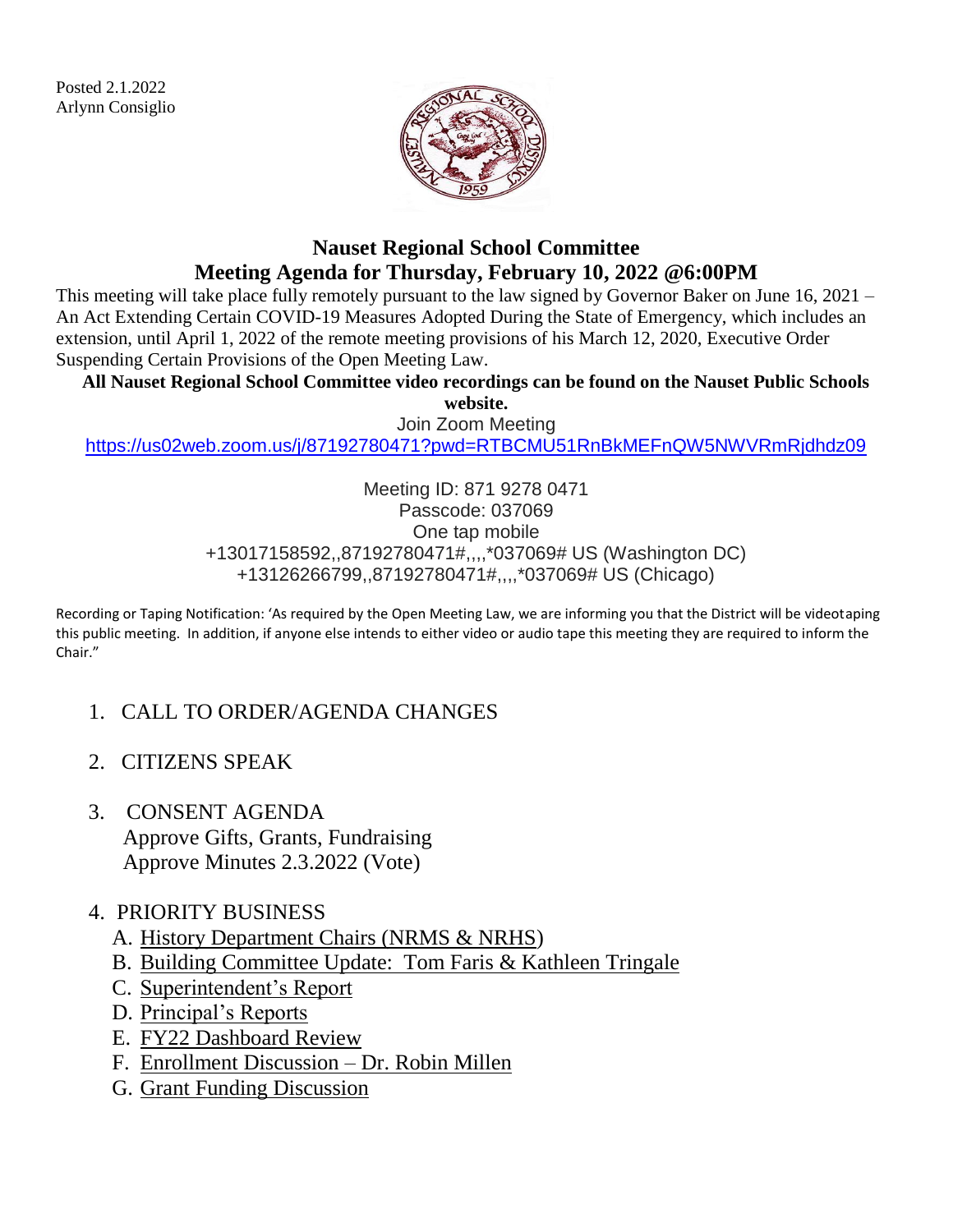Posted 2.1.2022 Arlynn Consiglio



## **Nauset Regional School Committee Meeting Agenda for Thursday, February 10, 2022 @6:00PM**

This meeting will take place fully remotely pursuant to the law signed by Governor Baker on June 16, 2021 – An Act Extending Certain COVID-19 Measures Adopted During the State of Emergency, which includes an extension, until April 1, 2022 of the remote meeting provisions of his March 12, 2020, Executive Order Suspending Certain Provisions of the Open Meeting Law.

**All Nauset Regional School Committee video recordings can be found on the Nauset Public Schools** 

**website.** Join Zoom Meeting

<https://us02web.zoom.us/j/87192780471?pwd=RTBCMU51RnBkMEFnQW5NWVRmRjdhdz09>

Meeting ID: 871 9278 0471 Passcode: 037069 One tap mobile +13017158592,,87192780471#,,,,\*037069# US (Washington DC) +13126266799,,87192780471#,,,,\*037069# US (Chicago)

Recording or Taping Notification: 'As required by the Open Meeting Law, we are informing you that the District will be videotaping this public meeting. In addition, if anyone else intends to either video or audio tape this meeting they are required to inform the Chair."

- 1. CALL TO ORDER/AGENDA CHANGES
- 2. CITIZENS SPEAK
- 3. CONSENT AGENDA Approve Gifts, Grants, Fundraising Approve Minutes 2.3.2022 (Vote)

#### 4. PRIORITY BUSINESS

- A. History Department Chairs (NRMS & NRHS)
- B. Building Committee Update: Tom Faris & Kathleen Tringale
- C. Superintendent's Report
- D. Principal's Reports
- E. FY22 Dashboard Review
- F. Enrollment Discussion Dr. Robin Millen
- G. Grant Funding Discussion